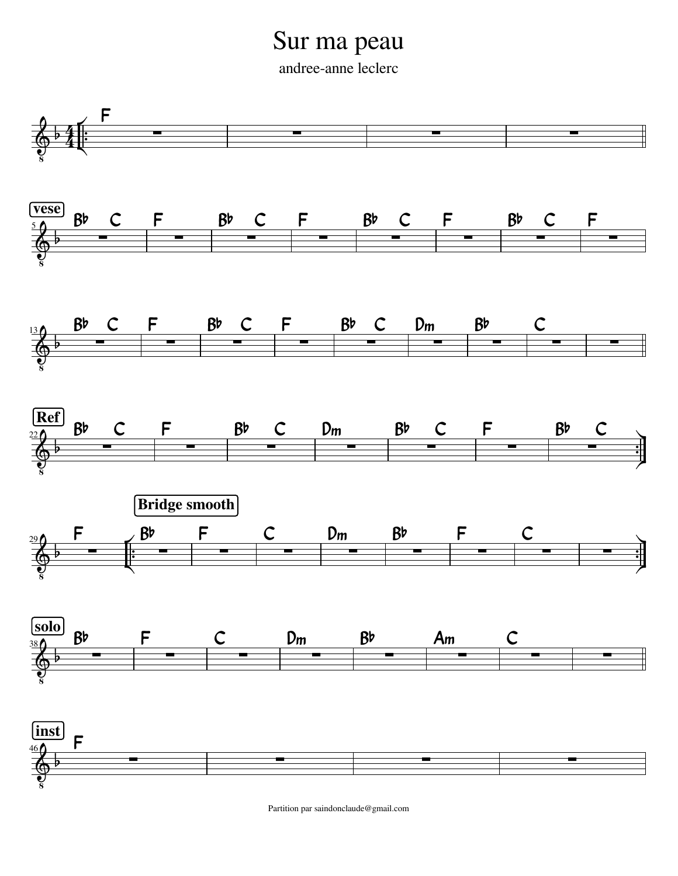## Sur ma peau

andree-anne leclerc



Partition par saindonclaude@gmail.com